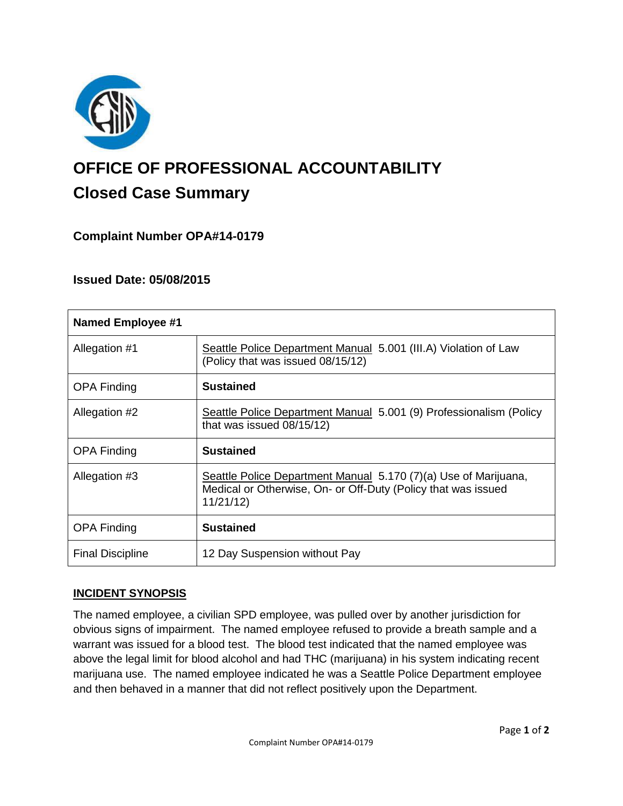

# **OFFICE OF PROFESSIONAL ACCOUNTABILITY Closed Case Summary**

# **Complaint Number OPA#14-0179**

# **Issued Date: 05/08/2015**

| <b>Named Employee #1</b> |                                                                                                                                              |
|--------------------------|----------------------------------------------------------------------------------------------------------------------------------------------|
| Allegation #1            | Seattle Police Department Manual 5.001 (III.A) Violation of Law<br>(Policy that was issued 08/15/12)                                         |
| <b>OPA Finding</b>       | <b>Sustained</b>                                                                                                                             |
| Allegation #2            | Seattle Police Department Manual 5.001 (9) Professionalism (Policy<br>that was issued 08/15/12)                                              |
| <b>OPA Finding</b>       | <b>Sustained</b>                                                                                                                             |
| Allegation #3            | Seattle Police Department Manual 5.170 (7)(a) Use of Marijuana,<br>Medical or Otherwise, On- or Off-Duty (Policy that was issued<br>11/21/12 |
| <b>OPA Finding</b>       | <b>Sustained</b>                                                                                                                             |
| <b>Final Discipline</b>  | 12 Day Suspension without Pay                                                                                                                |

# **INCIDENT SYNOPSIS**

The named employee, a civilian SPD employee, was pulled over by another jurisdiction for obvious signs of impairment. The named employee refused to provide a breath sample and a warrant was issued for a blood test. The blood test indicated that the named employee was above the legal limit for blood alcohol and had THC (marijuana) in his system indicating recent marijuana use. The named employee indicated he was a Seattle Police Department employee and then behaved in a manner that did not reflect positively upon the Department.